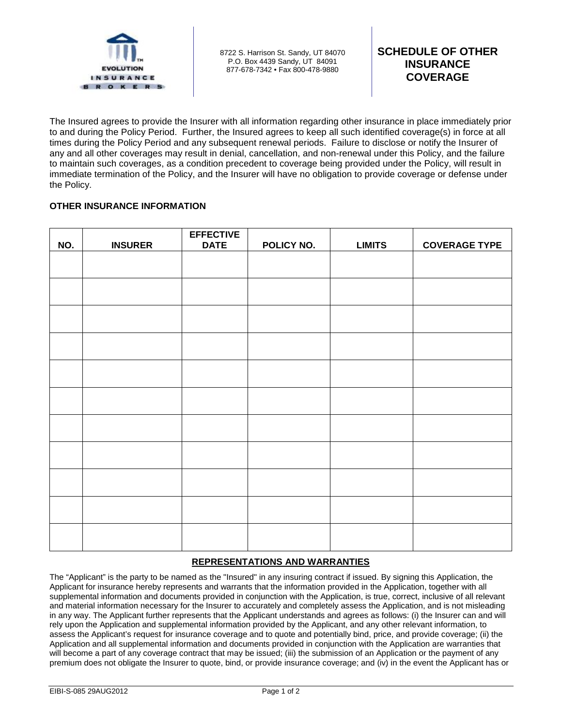

8722 S. Harrison St. Sandy, UT 84070 P.O. Box 4439 Sandy, UT 84091 877-678-7342 • Fax 800-478-9880

The Insured agrees to provide the Insurer with all information regarding other insurance in place immediately prior to and during the Policy Period. Further, the Insured agrees to keep all such identified coverage(s) in force at all times during the Policy Period and any subsequent renewal periods. Failure to disclose or notify the Insurer of any and all other coverages may result in denial, cancellation, and non-renewal under this Policy, and the failure to maintain such coverages, as a condition precedent to coverage being provided under the Policy, will result in immediate termination of the Policy, and the Insurer will have no obligation to provide coverage or defense under the Policy.

## **OTHER INSURANCE INFORMATION**

| NO. | <b>INSURER</b> | <b>EFFECTIVE</b><br><b>DATE</b> | POLICY NO. | <b>LIMITS</b> | <b>COVERAGE TYPE</b> |
|-----|----------------|---------------------------------|------------|---------------|----------------------|
|     |                |                                 |            |               |                      |
|     |                |                                 |            |               |                      |
|     |                |                                 |            |               |                      |
|     |                |                                 |            |               |                      |
|     |                |                                 |            |               |                      |
|     |                |                                 |            |               |                      |
|     |                |                                 |            |               |                      |
|     |                |                                 |            |               |                      |
|     |                |                                 |            |               |                      |
|     |                |                                 |            |               |                      |
|     |                |                                 |            |               |                      |

## **REPRESENTATIONS AND WARRANTIES**

The "Applicant" is the party to be named as the "Insured" in any insuring contract if issued. By signing this Application, the Applicant for insurance hereby represents and warrants that the information provided in the Application, together with all supplemental information and documents provided in conjunction with the Application, is true, correct, inclusive of all relevant and material information necessary for the Insurer to accurately and completely assess the Application, and is not misleading in any way. The Applicant further represents that the Applicant understands and agrees as follows: (i) the Insurer can and will rely upon the Application and supplemental information provided by the Applicant, and any other relevant information, to assess the Applicant's request for insurance coverage and to quote and potentially bind, price, and provide coverage; (ii) the Application and all supplemental information and documents provided in conjunction with the Application are warranties that will become a part of any coverage contract that may be issued; (iii) the submission of an Application or the payment of any premium does not obligate the Insurer to quote, bind, or provide insurance coverage; and (iv) in the event the Applicant has or